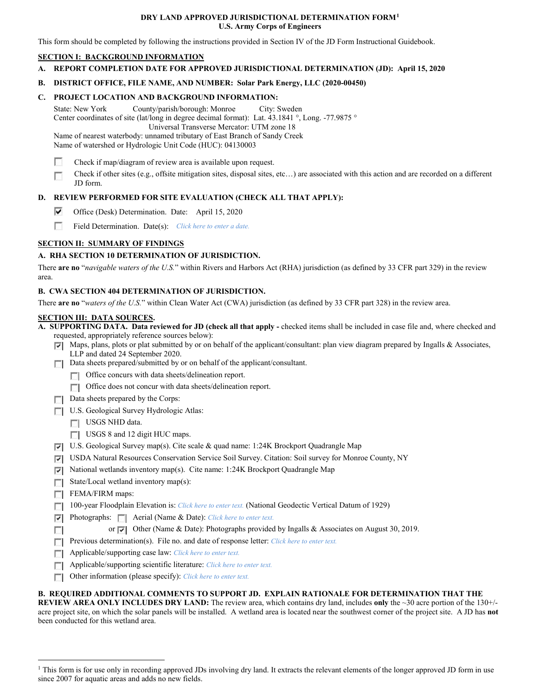#### **DRY LAND APPROVED JURISDICTIONAL DETERMINATION FORM[1](#page-0-0) U.S. Army Corps of Engineers**

This form should be completed by following the instructions provided in Section IV of the JD Form Instructional Guidebook.

# **SECTION I: BACKGROUND INFORMATION**

**A. REPORT COMPLETION DATE FOR APPROVED JURISDICTIONAL DETERMINATION (JD): April 15, 2020**

# **B. DISTRICT OFFICE, FILE NAME, AND NUMBER: Solar Park Energy, LLC (2020-00450)**

# **C. PROJECT LOCATION AND BACKGROUND INFORMATION:**

State: New York County/parish/borough: Monroe City: Sweden Center coordinates of site (lat/long in degree decimal format): Lat. 43.1841 °, Long. -77.9875 ° Universal Transverse Mercator: UTM zone 18 Name of nearest waterbody: unnamed tributary of East Branch of Sandy Creek Name of watershed or Hydrologic Unit Code (HUC): 04130003

Е Check if map/diagram of review area is available upon request.

Check if other sites (e.g., offsite mitigation sites, disposal sites, etc…) are associated with this action and are recorded on a different Г JD form.

# **D. REVIEW PERFORMED FOR SITE EVALUATION (CHECK ALL THAT APPLY):**

- ⊽ Office (Desk) Determination. Date: April 15, 2020
- 55 Field Determination. Date(s): *Click here to enter a date.*

# **SECTION II: SUMMARY OF FINDINGS**

# **A. RHA SECTION 10 DETERMINATION OF JURISDICTION.**

There **are no** "*navigable waters of the U.S.*" within Rivers and Harbors Act (RHA) jurisdiction (as defined by 33 CFR part 329) in the review area.

#### **B. CWA SECTION 404 DETERMINATION OF JURISDICTION.**

There **are no** "*waters of the U.S.*" within Clean Water Act (CWA) jurisdiction (as defined by 33 CFR part 328) in the review area.

#### **SECTION III: DATA SOURCES.**

**A. SUPPORTING DATA. Data reviewed for JD (check all that apply -** checked items shall be included in case file and, where checked and requested, appropriately reference sources below):

- $\nabla$  Maps, plans, plots or plat submitted by or on behalf of the applicant/consultant: plan view diagram prepared by Ingalls & Associates, LLP and dated 24 September 2020.
- Data sheets prepared/submitted by or on behalf of the applicant/consultant.
	- **T** Office concurs with data sheets/delineation report.
	- Office does not concur with data sheets/delineation report.
- $\Box$  Data sheets prepared by the Corps:
- U.S. Geological Survey Hydrologic Atlas:
	- USGS NHD data.
	- USGS 8 and 12 digit HUC maps.
- U.S. Geological Survey map(s). Cite scale & quad name: 1:24K Brockport Quadrangle Map
- USDA Natural Resources Conservation Service Soil Survey. Citation: Soil survey for Monroe County, NY
- National wetlands inventory map(s). Cite name: 1:24K Brockport Quadrangle Map
- $\Box$  State/Local wetland inventory map(s):
- $\Box$  FEMA/FIRM maps:

 $\overline{\mathcal{L}^{\mathcal{A}}_{\mathcal{A}}}$ 

- 100-year Floodplain Elevation is: *Click here to enter text.* (National Geodectic Vertical Datum of 1929)
- Photographs: Aerial (Name & Date): *Click here to enter text.*
	- or Other (Name & Date): Photographs provided by Ingalls & Associates on August 30, 2019.
- **Previous determination(s). File no. and date of response letter:** *Click here to enter text.*
- Applicable/supporting case law: *Click here to enter text.*
- Applicable/supporting scientific literature: *Click here to enter text.*
- Other information (please specify): *Click here to enter text.*

#### **B. REQUIRED ADDITIONAL COMMENTS TO SUPPORT JD. EXPLAIN RATIONALE FOR DETERMINATION THAT THE**

**REVIEW AREA ONLY INCLUDES DRY LAND:** The review area, which contains dry land, includes **only** the ~30 acre portion of the 130+/ acre project site, on which the solar panels will be installed. A wetland area is located near the southwest corner of the project site. A JD has **not** been conducted for this wetland area.

<span id="page-0-0"></span><sup>&</sup>lt;sup>1</sup> This form is for use only in recording approved JDs involving dry land. It extracts the relevant elements of the longer approved JD form in use since 2007 for aquatic areas and adds no new fields.